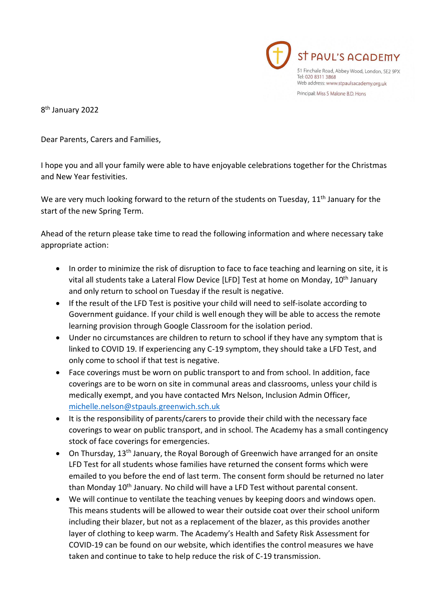

8<sup>th</sup> January 2022

Dear Parents, Carers and Families,

I hope you and all your family were able to have enjoyable celebrations together for the Christmas and New Year festivities.

We are very much looking forward to the return of the students on Tuesday, 11<sup>th</sup> January for the start of the new Spring Term.

Ahead of the return please take time to read the following information and where necessary take appropriate action:

- In order to minimize the risk of disruption to face to face teaching and learning on site, it is vital all students take a Lateral Flow Device [LFD] Test at home on Monday, 10<sup>th</sup> January and only return to school on Tuesday if the result is negative.
- If the result of the LFD Test is positive your child will need to self-isolate according to Government guidance. If your child is well enough they will be able to access the remote learning provision through Google Classroom for the isolation period.
- Under no circumstances are children to return to school if they have any symptom that is linked to COVID 19. If experiencing any C-19 symptom, they should take a LFD Test, and only come to school if that test is negative.
- Face coverings must be worn on public transport to and from school. In addition, face coverings are to be worn on site in communal areas and classrooms, unless your child is medically exempt, and you have contacted Mrs Nelson, Inclusion Admin Officer, [michelle.nelson@stpauls.greenwich.sch.uk](mailto:michelle.nelson@stpauls.greenwich.sch.uk)
- It is the responsibility of parents/carers to provide their child with the necessary face coverings to wear on public transport, and in school. The Academy has a small contingency stock of face coverings for emergencies.
- On Thursday, 13<sup>th</sup> January, the Royal Borough of Greenwich have arranged for an onsite LFD Test for all students whose families have returned the consent forms which were emailed to you before the end of last term. The consent form should be returned no later than Monday 10<sup>th</sup> January. No child will have a LFD Test without parental consent.
- We will continue to ventilate the teaching venues by keeping doors and windows open. This means students will be allowed to wear their outside coat over their school uniform including their blazer, but not as a replacement of the blazer, as this provides another layer of clothing to keep warm. The Academy's Health and Safety Risk Assessment for COVID-19 can be found on our website, which identifies the control measures we have taken and continue to take to help reduce the risk of C-19 transmission.